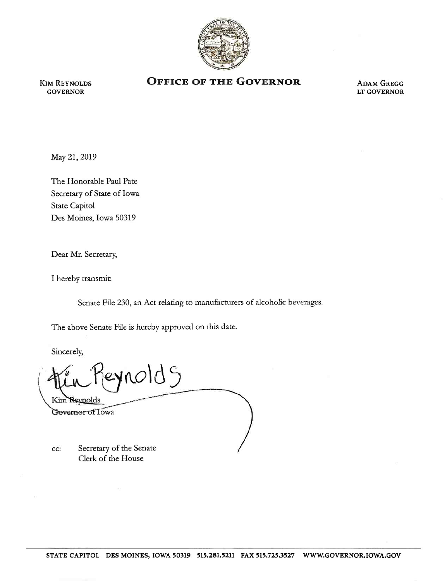

KIM REYNOLDS GOVERNOR

## **OFFICE OF THE GOVERNOR**

ADAM GREGG LT GOVERNOR

May 21, 2019

The Honorable Paul Pate Secretary of State of Iowa State Capitol Des Moines, Iowa 50319

Dear Mr. Secretary,

I hereby transmit:

Senate File 230, an Act relating to manufacturers of alcoholic beverages.

The above Senate File is hereby approved on this date.

Sincerely,

ynold S Kim Reynolds Governor of Towa

cc: Secretary of the Senate Clerk of the House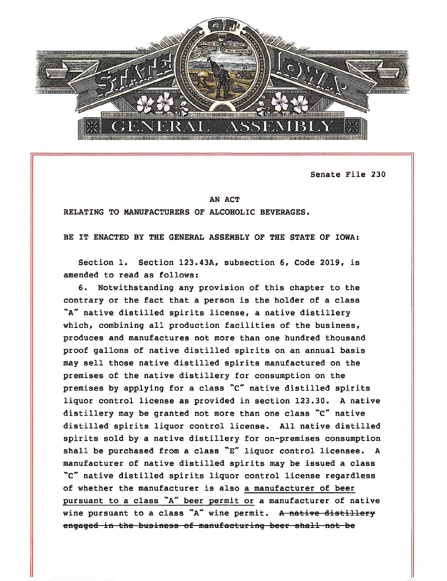

Senate File 230

## AN ACT

RELATING TO MANUFACTURERS OF ALCOHOLIC BEVERAGES.

BE IT ENACTED BY THE GENERAL ASSEMBLY OF THE STATE OF IOWA:

Section 1. Section 123.43A, subsection 6, Code 2019, is amended to read as follows:

6. Notwithstanding any provision of this chapter to the contrary or the fact that a person is the holder of a class "A" native distilled spirits license, a native distillery which, combining all production facilities of the business, produces and manufactures not more than one hundred thousand proof gallons of native distilled spirits on an annual basis may sell those native distilled spirits manufactured on the premises of the native distillery for consumption on the premises by applying for a class "C" native distilled spirits liquor control license as provided in section 123.30. A native distillery may be granted not more than one class "C" native distilled spirits liquor control license. All native distilled spirits sold by a native distillery for on-premises consumption shall be purchased from a class  $E''$  liquor control licensee. A manufacturer of native distilled spirits may be issued a class ·c" native distilled spirits liquor control license regardless of whether the manufacturer is also a manufacturer of beer pursuant to a class "A" beer permit or a manufacturer of native wine pursuant to a class "A" wine permit. A native distillery engaged in the business of manufacturing beer shall not be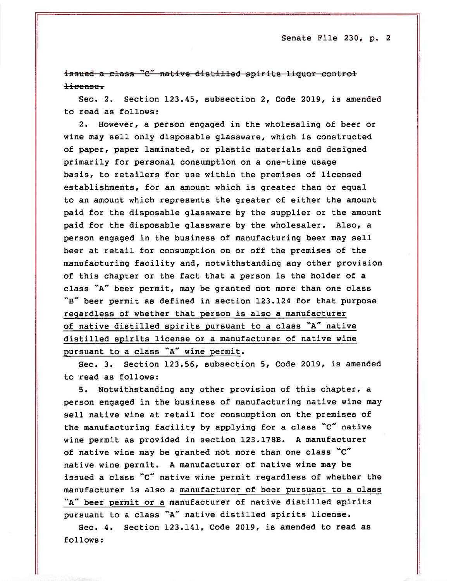issued a class "C" native distilled spirits liquor control license.

Sec. 2. Section 123.45, subsection 2, Code 2019, is amended to read as follows:

2. However, a person engaged in the wholesaling of beer or wine may sell only disposable glassware, which is constructed of paper, paper laminated, or plastic materials and designed primarily for personal consumption on a one-time usage basis, to retailers for use within the premises of licensed establishments, for an amount which is greater than or equal to an amount which represents the greater of either the amount paid for the disposable glassware by the supplier or the amount paid for the disposable glassware by the who1esaler. Also, a person engaged in the business of manufacturing beer may sell beer at retail for consumption on or off the premises of the manufacturing facility and, notwithstanding any other provision of this chapter or the fact that a person is the holder of a class "A" beer permit, may be granted not more than one class "B" beer permit as defined in section 123.124 for that purpose regardless of whether that person is also a manufacturer of native distilled spirits pursuant to a class "A" native distilled spirits license or a manufacturer of native wine pursuant to a class "A" wine permit.

Sec. 3. Section 123.56, subsection 5, Code 2019, is amended to read as follows:

5. Notwithstanding any other provision of this chapter, a person engaged in the business of manufacturing native wine may sell native wine at retail for consumption on the premises of the manufacturing facility by applying for a class "c" native wine permit as provided in section 123.178B. A manufacturer of native wine may be granted not more than one class "c" native wine permit. A manufacturer of native wine may be issued a class "c" native wine permit regardless of whether the manufacturer is also a manufacturer of beer pursuant to a class "A" beer permit or a manufacturer of native distilled spirits pursuant to a class "A" native distilled spirits license.

Sec. 4. Section 123.141, Code 2019, is amended to read as follows: